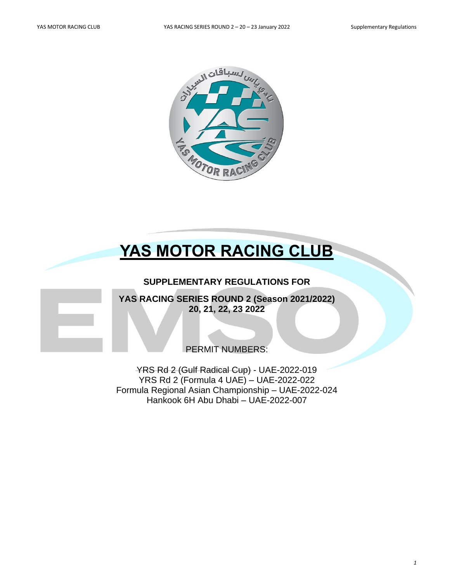

# **YAS MOTOR RACING CLUB**

# **SUPPLEMENTARY REGULATIONS FOR**

**YAS RACING SERIES ROUND 2 (Season 2021/2022) 20, 21, 22, 23 2022**

PERMIT NUMBERS:

YRS Rd 2 (Gulf Radical Cup) - UAE-2022-019 YRS Rd 2 (Formula 4 UAE) – UAE-2022-022 Formula Regional Asian Championship – UAE-2022-024 Hankook 6H Abu Dhabi – UAE-2022-007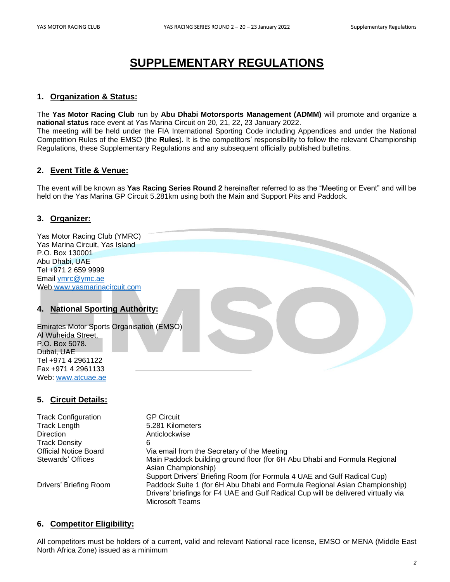# **SUPPLEMENTARY REGULATIONS**

# **1. Organization & Status:**

The **Yas Motor Racing Club** run by **Abu Dhabi Motorsports Management (ADMM)** will promote and organize a **national status** race event at Yas Marina Circuit on 20, 21, 22, 23 January 2022.

The meeting will be held under the FIA International Sporting Code including Appendices and under the National Competition Rules of the EMSO (the **Rules**). It is the competitors' responsibility to follow the relevant Championship Regulations, these Supplementary Regulations and any subsequent officially published bulletins.

# **2. Event Title & Venue:**

The event will be known as **Yas Racing Series Round 2** hereinafter referred to as the "Meeting or Event" and will be held on the Yas Marina GP Circuit 5.281km using both the Main and Support Pits and Paddock.

# **3. Organizer:**

Yas Motor Racing Club (YMRC) Yas Marina Circuit, Yas Island P.O. Box 130001 Abu Dhabi, UAE Tel +971 2 659 9999 Email [ymrc@ymc.ae](mailto:ymrc@ymc.ae) Web [www.yasmarinacircuit.com](http://www.yasmarinacircuit.com/)

# **4. National Sporting Authority:**

Emirates Motor Sports Organisation (EMSO) Al Wuheida Street, P.O. Box 5078. Dubai, UAE Tel +971 4 2961122 Fax +971 4 2961133 Web: [www.atcuae.ae](http://www.atcuae.ae/)

# **5. Circuit Details:**

Track Configuration GP Circuit Track Length 5.281 Kilometers Direction **Anticlockwise** Track Density 6

Official Notice Board Via email from the Secretary of the Meeting Stewards' Offices Main Paddock building ground floor (for 6H Abu Dhabi and Formula Regional Asian Championship) Support Drivers' Briefing Room (for Formula 4 UAE and Gulf Radical Cup) Drivers' Briefing Room Paddock Suite 1 (for 6H Abu Dhabi and Formula Regional Asian Championship) Drivers' briefings for F4 UAE and Gulf Radical Cup will be delivered virtually via Microsoft Teams

# **6. Competitor Eligibility:**

All competitors must be holders of a current, valid and relevant National race license, EMSO or MENA (Middle East North Africa Zone) issued as a minimum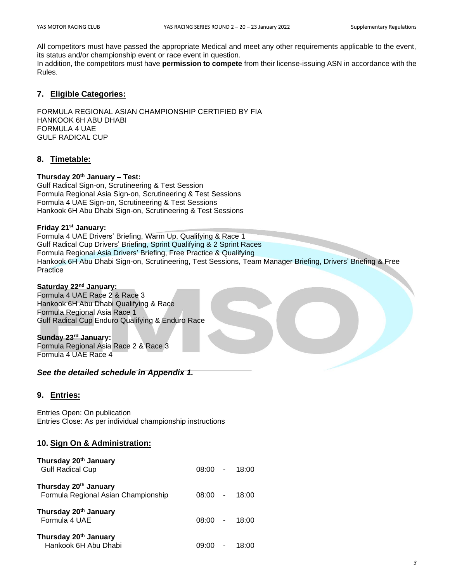All competitors must have passed the appropriate Medical and meet any other requirements applicable to the event, its status and/or championship event or race event in question.

In addition, the competitors must have **permission to compete** from their license-issuing ASN in accordance with the Rules.

#### **7. Eligible Categories:**

FORMULA REGIONAL ASIAN CHAMPIONSHIP CERTIFIED BY FIA HANKOOK 6H ABU DHABI FORMULA 4 UAE GULF RADICAL CUP

# **8. Timetable:**

#### **Thursday 20th January – Test:**

Gulf Radical Sign-on, Scrutineering & Test Session Formula Regional Asia Sign-on, Scrutineering & Test Sessions Formula 4 UAE Sign-on, Scrutineering & Test Sessions Hankook 6H Abu Dhabi Sign-on, Scrutineering & Test Sessions

#### **Friday 21st January:**

Formula 4 UAE Drivers' Briefing, Warm Up, Qualifying & Race 1 Gulf Radical Cup Drivers' Briefing, Sprint Qualifying & 2 Sprint Races Formula Regional Asia Drivers' Briefing, Free Practice & Qualifying Hankook 6H Abu Dhabi Sign-on, Scrutineering, Test Sessions, Team Manager Briefing, Drivers' Briefing & Free Practice

# **Saturday 22nd January:**

Formula 4 UAE Race 2 & Race 3 Hankook 6H Abu Dhabi Qualifying & Race Formula Regional Asia Race 1 Gulf Radical Cup Enduro Qualifying & Enduro Race

#### **Sunday 23rd January:** Formula Regional Asia Race 2 & Race 3

Formula 4 UAE Race 4

*See the detailed schedule in Appendix 1.*

# **9. Entries:**

Entries Open: On publication Entries Close: As per individual championship instructions

# **10. Sign On & Administration:**

| Thursday 20 <sup>th</sup> January<br><b>Gulf Radical Cup</b> | $08:00 -$ |                          | 18:00 |
|--------------------------------------------------------------|-----------|--------------------------|-------|
| Thursday 20th January<br>Formula Regional Asian Championship | $08:00 -$ |                          | 18:00 |
| Thursday 20 <sup>th</sup> January<br>Formula 4 UAE           | $08:00 -$ |                          | 18:00 |
| Thursday 20 <sup>th</sup> January<br>Hankook 6H Abu Dhabi    |           | $\overline{\phantom{a}}$ | 18:00 |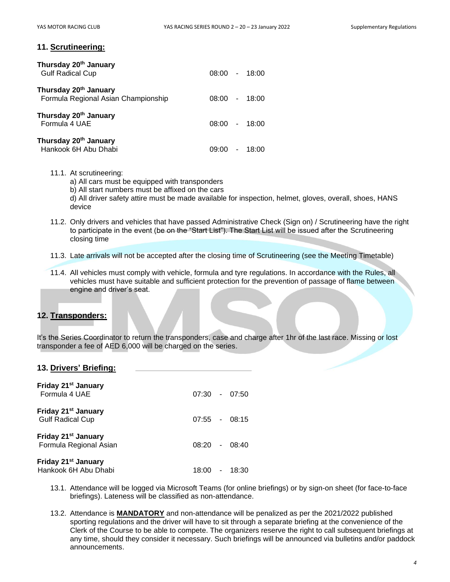#### **11. Scrutineering:**

| Thursday 20 <sup>th</sup> January<br><b>Gulf Radical Cup</b>             | $08:00 - 18:00$ |       |
|--------------------------------------------------------------------------|-----------------|-------|
| Thursday 20 <sup>th</sup> January<br>Formula Regional Asian Championship | $08:00 - 18:00$ |       |
| Thursday 20 <sup>th</sup> January<br>Formula 4 UAE                       | $08:00 - 18:00$ |       |
| Thursday 20 <sup>th</sup> January<br>Hankook 6H Abu Dhabi                | 09:00           | 18:00 |

#### 11.1. At scrutineering:

a) All cars must be equipped with transponders

b) All start numbers must be affixed on the cars

d) All driver safety attire must be made available for inspection, helmet, gloves, overall, shoes, HANS device

- 11.2. Only drivers and vehicles that have passed Administrative Check (Sign on) / Scrutineering have the right to participate in the event (be on the "Start List"). The Start List will be issued after the Scrutineering closing time
- 11.3. Late arrivals will not be accepted after the closing time of Scrutineering (see the Meeting Timetable)
- 11.4. All vehicles must comply with vehicle, formula and tyre regulations. In accordance with the Rules, all vehicles must have suitable and sufficient protection for the prevention of passage of flame between engine and driver's seat.

# **12. Transponders:**

It's the Series Coordinator to return the transponders, case and charge after 1hr of the last race. Missing or lost transponder a fee of AED 6,000 will be charged on the series.

#### **13. Drivers' Briefing:**

| Friday 21 <sup>st</sup> January<br>Formula 4 UAE           | $07:30 - 07:50$ |         |
|------------------------------------------------------------|-----------------|---------|
| Friday 21 <sup>st</sup> January<br><b>Gulf Radical Cup</b> | $07:55 - 08:15$ |         |
| Friday 21 <sup>st</sup> January<br>Formula Regional Asian  | $08:20 - 08:40$ |         |
| Friday 21 <sup>st</sup> January<br>Hankook 6H Abu Dhabi    | 18:00           | - 18:30 |

- 13.1. Attendance will be logged via Microsoft Teams (for online briefings) or by sign-on sheet (for face-to-face briefings). Lateness will be classified as non-attendance.
- 13.2. Attendance is **MANDATORY** and non-attendance will be penalized as per the 2021/2022 published sporting regulations and the driver will have to sit through a separate briefing at the convenience of the Clerk of the Course to be able to compete. The organizers reserve the right to call subsequent briefings at any time, should they consider it necessary. Such briefings will be announced via bulletins and/or paddock announcements.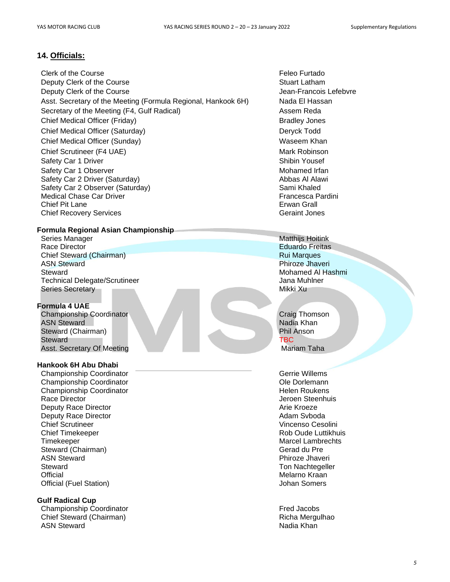# **14. Officials:**

Clerk of the Course **Feleo Furtado Feleo Furtado** Deputy Clerk of the Course Stuart Latham Stuart Latham Deputy Clerk of the Course **Jean-Francois Lefebvre** Jean-Francois Lefebvre Asst. Secretary of the Meeting (Formula Regional, Hankook 6H) Nada El Hassan Secretary of the Meeting (F4, Gulf Radical) Assem Reda Chief Medical Officer (Friday) **Bradley Jones** Bradley Jones Chief Medical Officer (Saturday) Deryck Todd Chief Medical Officer (Sunday) Waseem Khan Chief Scrutineer (F4 UAE) and the control of the Mark Robinson Mark Robinson Safety Car 1 Driver Shibin Yousef Safety Car 1 Observer Mohamed Irfan Safety Car 2 Driver (Saturday) and the same of the Safety Car 2 Driver (Saturday) Safety Car 2 Observer (Saturday) Sami Khaled Medical Chase Car Driver **Francesca Pardini Francesca Pardini** Chief Pit Lane **Erwan Grall Chief Recovery Services** Geraint Jones Geraint Jones

#### **Formula Regional Asian Championship**

Series Manager Matthijs Hoitink Race Director **Eduardo Freitas** Chief Steward (Chairman) **Rui Marques** Rui Marques **Rui Marques** Rui Marques Rui Marques Rui Marques Rui Marques Rui Marques Rui Marques Rui Marques Rui Marques Rui Marques Rui Marques Rui Marques Rui Marques Rui Marques R ASN Steward **Phiroze Jhaveri** Phiroze Jhaveri **Phiroze Jhaveri** Steward Mohamed Al Hashmi Technical Delegate/Scrutineer Jana Muhlner Jana Muhlner Series Secretary Mikki Xu

#### **Formula 4 UAE**

Championship Coordinator Craig Thomson ASN Steward Nadia Khan Nadia Khan Nadia Khan Nadia Khan Nadia Khan Nadia Khan Nadia Khan Nadia Khan Nadia Khan Nadia Khan Nadia Khan Nadia Khan Nadia Khan Nadia Khan Nadia Khan Nadia Khan Nadia Khan Nadia Khan Nadia Khan N Steward (Chairman) Steward **TBC** Asst. Secretary Of Meeting Mariam Taha

#### **Hankook 6H Abu Dhabi**

Championship Coordinator **Contact Contact Contact Contact Contact Contact Contact Contact Contact Contact Contact Contact Contact Contact Contact Contact Contact Contact Contact Contact Contact Contact Contact Contact Cont** Championship Coordinator Ole Dorlemann Championship Coordinator **Helen Roukens Helen Roukens** Race Director **Access 2018 Race Director** Access 2019 **Jeroen Steenhuis** Deputy Race Director **Arie Kroeze** Arie Kroeze Deputy Race Director **Adam Svboda Contract Contract Contract Contract Contract Contract Contract Contract Contract Contract Contract Contract Contract Contract Contract Contract Contract Contract Contract Contract Contra** Chief Scrutineer Vincenso Cesolini Chief Timekeeper **Chief Timekeeper Rob Oude Luttikhuis** Timekeeper Marcel Lambrechts (1999) and the Marcel Lambrechts (1999) and the Marcel Lambrechts (1999) and the Marcel Lambrechts (1999) and the Marcel Lambrechts (1999) and the Marcel Lambrechts (1999) and the Marcel Lambre Steward (Chairman) Gerad du Pre ASN Steward **Phiroze Jhaveri** Phiroze Jhaveri **Phiroze Jhaveri** Phiroze Jhaveri Phiroze Jhaveri Phiroze Jhaveri Phiroze Jhaveri Phiroze Jhaveri Phiroze Jhaveri Phiroze Jhaveri Phiroze Jhaveri Phiroze Jhaveri Phiroze Jhaver Steward **Ton Nachtegeller** Steward **Ton Nachtegeller** Steward **Ton Nachtegeller** Official **Melarno Kraan** Melarno Kraan Melarno Kraan Melarno Kraan Melarno Kraan Melarno Kraan Melarno Kraan Melarno Kraan Melarno Kraan Melarno Kraan Melarno Kraan Melarno Kraan Melarno Kraan Melarno Kraan Melarno Kraan M Official (Fuel Station) Johan Somers

#### **Gulf Radical Cup**

Championship Coordinator<br>
Chief Steward (Chairman) Chief Steward (Chairman) Chief Steward (Chairman) ASN Steward **National Assault Control Control Control Control Control Control Control Control Control Control Control Control Control Control Control Control Control Control Control Control Control Control Control Control**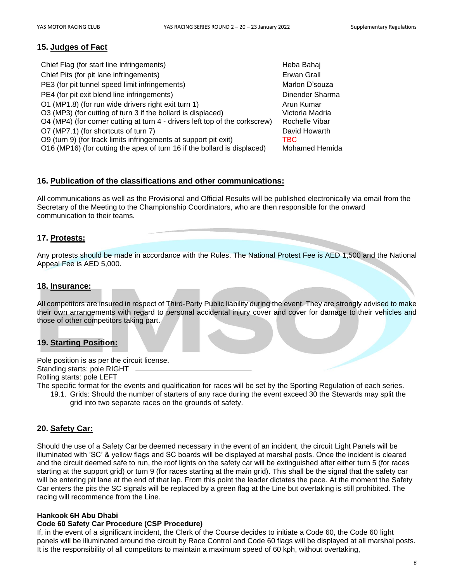# **15. Judges of Fact**

| Chief Flag (for start line infringements)                                   | Heba Bahaj            |
|-----------------------------------------------------------------------------|-----------------------|
| Chief Pits (for pit lane infringements)                                     | Erwan Grall           |
| PE3 (for pit tunnel speed limit infringements)                              | Marlon D'souza        |
| PE4 (for pit exit blend line infringements)                                 | Dinender Sharma       |
| O1 (MP1.8) (for run wide drivers right exit turn 1)                         | Arun Kumar            |
| O3 (MP3) (for cutting of turn 3 if the bollard is displaced)                | Victoria Madria       |
| O4 (MP4) (for corner cutting at turn 4 - drivers left top of the corkscrew) | Rochelle Vibar        |
| O7 (MP7.1) (for shortcuts of turn 7)                                        | David Howarth         |
| O9 (turn 9) (for track limits infringements at support pit exit)            | TBC                   |
| O16 (MP16) (for cutting the apex of turn 16 if the bollard is displaced)    | <b>Mohamed Hemida</b> |
|                                                                             |                       |

# **16. Publication of the classifications and other communications:**

All communications as well as the Provisional and Official Results will be published electronically via email from the Secretary of the Meeting to the Championship Coordinators, who are then responsible for the onward communication to their teams.

# **17. Protests:**

Any protests should be made in accordance with the Rules. The National Protest Fee is AED 1,500 and the National Appeal Fee is AED 5,000.

#### **18. Insurance:**

All competitors are insured in respect of Third-Party Public liability during the event. They are strongly advised to make their own arrangements with regard to personal accidental injury cover and cover for damage to their vehicles and those of other competitors taking part.

# **19. Starting Position:**

Pole position is as per the circuit license.

Standing starts: pole RIGHT

Rolling starts: pole LEFT

- The specific format for the events and qualification for races will be set by the Sporting Regulation of each series.
	- 19.1. Grids: Should the number of starters of any race during the event exceed 30 the Stewards may split the grid into two separate races on the grounds of safety.

# **20. Safety Car:**

Should the use of a Safety Car be deemed necessary in the event of an incident, the circuit Light Panels will be illuminated with 'SC' & yellow flags and SC boards will be displayed at marshal posts. Once the incident is cleared and the circuit deemed safe to run, the roof lights on the safety car will be extinguished after either turn 5 (for races starting at the support grid) or turn 9 (for races starting at the main grid). This shall be the signal that the safety car will be entering pit lane at the end of that lap. From this point the leader dictates the pace. At the moment the Safety Car enters the pits the SC signals will be replaced by a green flag at the Line but overtaking is still prohibited. The racing will recommence from the Line.

#### **Hankook 6H Abu Dhabi**

#### **Code 60 Safety Car Procedure (CSP Procedure)**

If, in the event of a significant incident, the Clerk of the Course decides to initiate a Code 60, the Code 60 light panels will be illuminated around the circuit by Race Control and Code 60 flags will be displayed at all marshal posts. It is the responsibility of all competitors to maintain a maximum speed of 60 kph, without overtaking,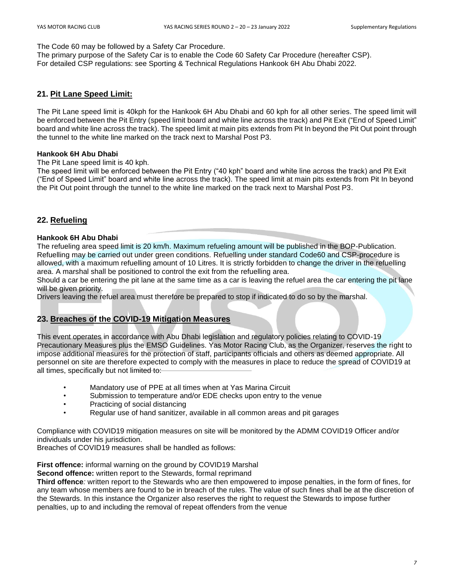#### The Code 60 may be followed by a Safety Car Procedure.

The primary purpose of the Safety Car is to enable the Code 60 Safety Car Procedure (hereafter CSP). For detailed CSP regulations: see Sporting & Technical Regulations Hankook 6H Abu Dhabi 2022.

# **21. Pit Lane Speed Limit:**

The Pit Lane speed limit is 40kph for the Hankook 6H Abu Dhabi and 60 kph for all other series. The speed limit will be enforced between the Pit Entry (speed limit board and white line across the track) and Pit Exit ("End of Speed Limit" board and white line across the track). The speed limit at main pits extends from Pit In beyond the Pit Out point through the tunnel to the white line marked on the track next to Marshal Post P3.

#### **Hankook 6H Abu Dhabi**

The Pit Lane speed limit is 40 kph.

The speed limit will be enforced between the Pit Entry ("40 kph" board and white line across the track) and Pit Exit ("End of Speed Limit" board and white line across the track). The speed limit at main pits extends from Pit In beyond the Pit Out point through the tunnel to the white line marked on the track next to Marshal Post P3.

# **22. Refueling**

#### **Hankook 6H Abu Dhabi**

The refueling area speed limit is 20 km/h. Maximum refueling amount will be published in the BOP-Publication. Refuelling may be carried out under green conditions. Refuelling under standard Code60 and CSP-procedure is allowed, with a maximum refuelling amount of 10 Litres. It is strictly forbidden to change the driver in the refuelling area. A marshal shall be positioned to control the exit from the refuelling area.

Should a car be entering the pit lane at the same time as a car is leaving the refuel area the car entering the pit lane will be given priority.

Drivers leaving the refuel area must therefore be prepared to stop if indicated to do so by the marshal.

# **23. Breaches of the COVID-19 Mitigation Measures**

This event operates in accordance with Abu Dhabi legislation and regulatory policies relating to COVID-19 Precautionary Measures plus the EMSO Guidelines. Yas Motor Racing Club, as the Organizer, reserves the right to impose additional measures for the protection of staff, participants officials and others as deemed appropriate. All personnel on site are therefore expected to comply with the measures in place to reduce the spread of COVID19 at all times, specifically but not limited to:

- Mandatory use of PPE at all times when at Yas Marina Circuit
- Submission to temperature and/or EDE checks upon entry to the venue
- Practicing of social distancing
- Regular use of hand sanitizer, available in all common areas and pit garages

Compliance with COVID19 mitigation measures on site will be monitored by the ADMM COVID19 Officer and/or individuals under his jurisdiction.

Breaches of COVID19 measures shall be handled as follows:

**First offence:** informal warning on the ground by COVID19 Marshal

**Second offence:** written report to the Stewards, formal reprimand

**Third offence***:* written report to the Stewards who are then empowered to impose penalties, in the form of fines, for any team whose members are found to be in breach of the rules. The value of such fines shall be at the discretion of the Stewards. In this instance the Organizer also reserves the right to request the Stewards to impose further penalties, up to and including the removal of repeat offenders from the venue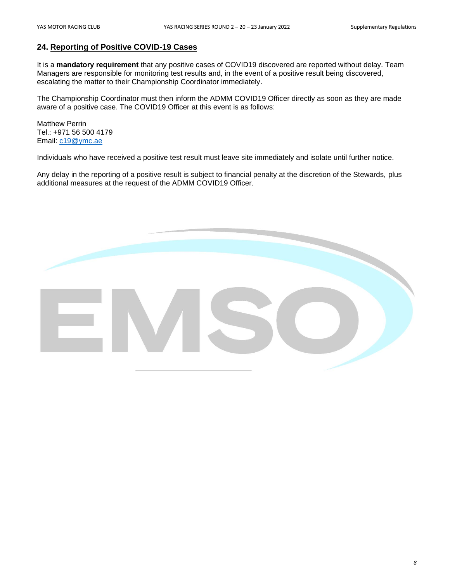# **24. Reporting of Positive COVID-19 Cases**

It is a **mandatory requirement** that any positive cases of COVID19 discovered are reported without delay. Team Managers are responsible for monitoring test results and, in the event of a positive result being discovered, escalating the matter to their Championship Coordinator immediately.

The Championship Coordinator must then inform the ADMM COVID19 Officer directly as soon as they are made aware of a positive case. The COVID19 Officer at this event is as follows:

Matthew Perrin Tel.: +971 56 500 4179 Email: [c19@ymc.ae](mailto:c19@ymc.ae)

Individuals who have received a positive test result must leave site immediately and isolate until further notice.

Any delay in the reporting of a positive result is subject to financial penalty at the discretion of the Stewards, plus additional measures at the request of the ADMM COVID19 Officer.

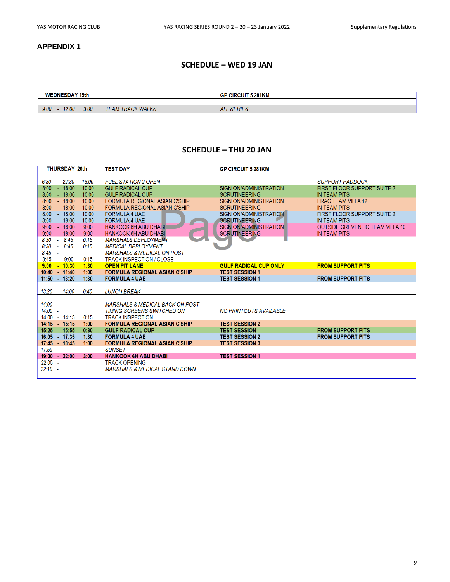#### **APPENDIX 1**

# **SCHEDULE – WED 19 JAN**

#### **WEDNESDAY 19th**

**GP CIRCUIT 5.281KM** 

```
9:00 - 12:00 - 3:00TEAM TRACK WALKS
```
ALL SERIES

#### **SCHEDULE – THU 20 JAN**

| <b>THURSDAY 20th</b>       | <b>TEST DAY</b>                            | <b>GP CIRCUIT 5.281KM</b>     |                                        |
|----------------------------|--------------------------------------------|-------------------------------|----------------------------------------|
| $6:30 - 22:30$<br>16:00    | <b>FUEL STATION 2 OPEN</b>                 |                               | <b>SUPPORT PADDOCK</b>                 |
| 8:00<br>$-18:00$<br>10:00  | <b>GULF RADICAL CUP</b>                    | <b>SIGN ON/ADMINISTRATION</b> | FIRST FLOOR SUPPORT SUITE 2            |
| 8:00<br>$-18:00$<br>10:00  | <b>GULF RADICAL CUP</b>                    | <b>SCRUTINEERING</b>          | <b>IN TEAM PITS</b>                    |
| $-18:00$<br>8:00<br>10:00  | <b>FORMULA REGIONAL ASIAN C'SHIP</b>       | <b>SIGN ON/ADMINISTRATION</b> | <b>FRAC TEAM VILLA 12</b>              |
| 8:00<br>$-18:00$<br>10:00  | <b>FORMULA REGIONAL ASIAN C'SHIP</b>       | <b>SCRUTINEERING</b>          | <b>IN TEAM PITS</b>                    |
| 8:00<br>$-18:00$<br>10:00  | <b>FORMULA 4 UAE</b>                       | SIGN ON/ADMINISTRATION        | <b>FIRST FLOOR SUPPORT SUITE 2</b>     |
| 8:00<br>$-18:00$<br>10:00  | <b>FORMULA 4 UAE</b>                       | <b>SCRUTINEERING</b>          | <b>IN TEAM PITS</b>                    |
| 9:00<br>$-18:00$<br>9:00   | <b>HANKOOK 6H ABU DHABI</b>                | <b>SIGN ON/ADMINISTRATION</b> | <b>OUTSIDE CREVENTIC TEAM VILLA 10</b> |
| 9:00<br>$-18:00$<br>9:00   | <b>HANKOOK 6H ABU DHABI</b>                | <b>SCRUTINEERING</b>          | <b>IN TEAM PITS</b>                    |
| 8:30<br>$-8:45$<br>0:15    | <b>MARSHALS DEPLOYMENT</b>                 |                               |                                        |
| 8:30<br>$-8.45$<br>0:15    | <b>MEDICAL DEPLOYMENT</b>                  |                               |                                        |
| 8:45<br>$\sim$             | <b>MARSHALS &amp; MEDICAL ON POST</b>      |                               |                                        |
| 8:45<br>$-9:00$<br>0:15    | <b>TRACK INSPECTION / CLOSE</b>            |                               |                                        |
| 9:00<br>$-10:30$<br>1:30   | <b>OPEN PIT LANE</b>                       | <b>GULF RADICAL CUP ONLY</b>  | <b>FROM SUPPORT PITS</b>               |
| $10:40 - 11:40$<br>1:00    | <b>FORMULA REGIONAL ASIAN C'SHIP</b>       | <b>TEST SESSION 1</b>         |                                        |
| $11:50 - 13:20$<br>1:30    | <b>FORMULA 4 UAE</b>                       | <b>TEST SESSION 1</b>         | <b>FROM SUPPORT PITS</b>               |
|                            |                                            |                               |                                        |
| 14:00<br>0:40<br>$13:20 -$ | <b>LUNCH BREAK</b>                         |                               |                                        |
| $14:00 -$                  | <b>MARSHALS &amp; MEDICAL BACK ON POST</b> |                               |                                        |
| $14:00 -$                  | TIMING SCREENS SWITCHED ON                 | <b>NO PRINTOUTS AVAILABLE</b> |                                        |
| $14:00 - 14:15$<br>0:15    | <b>TRACK INSPECTION</b>                    |                               |                                        |
| 14:15  15:15<br>1:00       | <b>FORMULA REGIONAL ASIAN C'SHIP</b>       | <b>TEST SESSION 2</b>         |                                        |
| 15:25 - 15:55<br>0:30      | <b>GULF RADICAL CUP</b>                    | <b>TEST SESSION</b>           | <b>FROM SUPPORT PITS</b>               |
| 16:05 17:35<br>1:30        | <b>FORMULA 4 UAE</b>                       | <b>TEST SESSION 2</b>         | <b>FROM SUPPORT PITS</b>               |
| 17:45 - 18:45<br>1:00      | <b>FORMULA REGIONAL ASIAN C'SHIP</b>       | <b>TEST SESSION 3</b>         |                                        |
| $17:59 -$                  | <b>SUNSET</b>                              |                               |                                        |
| $19:00 - 22:00$<br>3:00    | <b>HANKOOK 6H ABU DHABI</b>                | <b>TEST SESSION 1</b>         |                                        |
| $22:05 -$                  | <b>TRACK OPENING</b>                       |                               |                                        |
| $22:10 -$                  | <b>MARSHALS &amp; MEDICAL STAND DOWN</b>   |                               |                                        |
|                            |                                            |                               |                                        |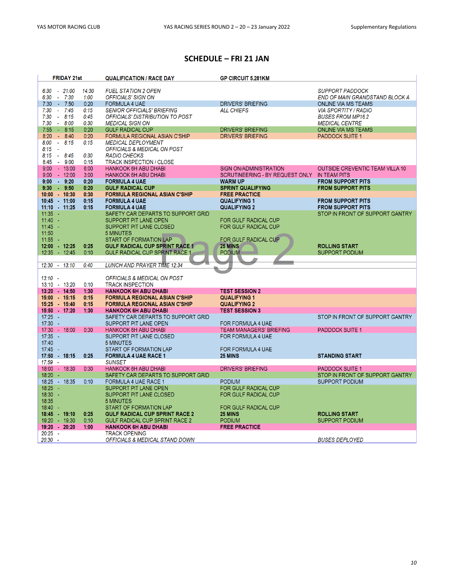# **SCHEDULE – FRI 21 JAN**

| <b>FRIDAY 21st</b>       | <b>QUALIFICATION / RACE DAY</b>        | <b>GP CIRCUIT 5.281KM</b>       |                                        |
|--------------------------|----------------------------------------|---------------------------------|----------------------------------------|
|                          |                                        |                                 |                                        |
| $6.30 - 21.00$<br>14:30  | <b>FUEL STATION 2 OPEN</b>             |                                 | <b>SUPPORT PADDOCK</b>                 |
| 6:30<br>$-7:30$<br>1:00  | OFFICIALS' SIGN ON                     |                                 | END OF MAIN GRANDSTAND BLOCK A         |
| $-7:50$<br>0:20<br>7:30  | <b>FORMULA 4 UAE</b>                   | <b>DRIVERS' BRIEFING</b>        | <b>ONLINE VIA MS TEAMS</b>             |
| 7:30<br>$-7:45$<br>0:15  | <b>SENIOR OFFICIALS' BRIEFING</b>      | <b>ALL CHIEFS</b>               | <b>VIA SPORTITY / RADIO</b>            |
| 7:30<br>$-8.15$<br>0:45  | OFFICIALS' DISTRIBUTION TO POST        |                                 | <b>BUSES FROM MP16.2</b>               |
| 7:30<br>$-8:00$<br>0:30  | <b>MEDICAL SIGN ON</b>                 |                                 | <b>MEDICAL CENTRE</b>                  |
| 7:55<br>$-8:15$<br>0:20  | <b>GULF RADICAL CUP</b>                | <b>DRIVERS' BRIEFING</b>        | <b>ONLINE VIA MS TEAMS</b>             |
| 8:20<br>$-8:40$<br>0:20  | FORMULA REGIONAL ASIAN C'SHIP          | <b>DRIVERS' BRIEFING</b>        | <b>PADDOCK SUITE 1</b>                 |
| 8:00<br>$-8.15$<br>0:15  | <b>MEDICAL DEPLOYMENT</b>              |                                 |                                        |
| 8:15<br>$\sim$           | OFFICIALS & MEDICAL ON POST            |                                 |                                        |
| 8:15<br>$-8.45$<br>0:30  | <b>RADIO CHECKS</b>                    |                                 |                                        |
| 8:45<br>$-9:00$<br>0:15  | <b>TRACK INSPECTION / CLOSE</b>        |                                 |                                        |
| $9:00 - 15:00$<br>6:00   | <b>HANKOOK 6H ABU DHABI</b>            | <b>SIGN ON/ADMINISTRATION</b>   | <b>OUTSIDE CREVENTIC TEAM VILLA 10</b> |
| $-12:00$<br>3:00<br>9:00 | <b>HANKOOK 6H ABU DHABI</b>            | SCRUTINEERING - BY REQUEST ONLY | <b>IN TEAM PITS</b>                    |
| $-9:20$<br>9:00<br>0:20  | <b>FORMULA 4 UAE</b>                   | <b>WARM UP</b>                  | <b>FROM SUPPORT PITS</b>               |
| 9:50<br>0:20<br>9:30     | <b>GULF RADICAL CUP</b>                | <b>SPRINT QUALIFYING</b>        | <b>FROM SUPPORT PITS</b>               |
| $10:00 - 10:30$<br>0:30  | <b>FORMULA REGIONAL ASIAN C'SHIP</b>   | <b>FREE PRACTICE</b>            |                                        |
| 10:45 - 11:00<br>0.15    | <b>FORMULA 4 UAE</b>                   | <b>QUALIFYING 1</b>             | <b>FROM SUPPORT PITS</b>               |
| $11:10 - 11:25$<br>0:15  | <b>FORMULA 4 UAE</b>                   | <b>QUALIFYING 2</b>             | <b>FROM SUPPORT PITS</b>               |
| $11:35 -$                | SAFETY CAR DEPARTS TO SUPPORT GRID     |                                 | STOP IN FRONT OF SUPPORT GANTRY        |
| $11:40 -$                | SUPPORT PIT LANE OPEN                  | FOR GULF RADICAL CUP            |                                        |
| 11:45                    | <b>SUPPORT PIT LANE CLOSED</b>         | <b>FOR GULF RADICAL CUP</b>     |                                        |
| 11:50                    | <b>5 MINUTES</b>                       |                                 |                                        |
| $11:55 - -$              | <b>START OF FORMATION LAP</b>          | FOR GULF RADICAL CUP            |                                        |
| 12:00 - 12:25<br>0:25    | <b>GULF RADICAL CUP SPRINT RACE 1</b>  | <b>25 MINS</b>                  | <b>ROLLING START</b>                   |
| 12:35 - 12:45<br>0:10    | <b>GULF RADICAL CUP SPRINT RACE 1</b>  | <b>PODIUM</b>                   | <b>SUPPORT PODIUM</b>                  |
|                          |                                        |                                 |                                        |
| $12:30 - 13:10$<br>0:40  | <b>LUNCH AND PRAYER TIME 12:34</b>     |                                 |                                        |
|                          |                                        |                                 |                                        |
| $13:10 -$                | <b>OFFICIALS &amp; MEDICAL ON POST</b> |                                 |                                        |
| 13:10 - 13:20<br>0:10    | <b>TRACK INSPECTION</b>                |                                 |                                        |
| 13:20 - 14:50<br>1:30    | <b>HANKOOK 6H ABU DHABI</b>            | <b>TEST SESSION 2</b>           |                                        |
| 15:00 15:15<br>0:15      | <b>FORMULA REGIONAL ASIAN C'SHIP</b>   | <b>QUALIFYING 1</b>             |                                        |
| 15:25 - 15:40<br>0:15    | <b>FORMULA REGIONAL ASIAN C'SHIP</b>   | <b>QUALIFYING 2</b>             |                                        |
| 15:50 17:20<br>1:30      | <b>HANKOOK 6H ABU DHABI</b>            | <b>TEST SESSION 3</b>           |                                        |
| $17:25 -$                | SAFETY CAR DEPARTS TO SUPPORT GRID     |                                 | STOP IN FRONT OF SUPPORT GANTRY        |
| $17:30 -$                | <b>SUPPORT PIT LANE OPEN</b>           | <b>FOR FORMULA 4 UAE</b>        |                                        |
| 17:30 - 18:00<br>0:30    | <b>HANKOOK 6H ABU DHABI</b>            | <b>TEAM MANAGERS' BRIEFING</b>  | <b>PADDOCK SUITE 1</b>                 |
| $17:35 -$                | SUPPORT PIT LANE CLOSED                | <b>FOR FORMULA 4 UAE</b>        |                                        |
| 17:40                    | <b>5 MINUTES</b>                       |                                 |                                        |
| $17:45 -$                | START OF FORMATION LAP                 | <b>FOR FORMULA 4 UAE</b>        |                                        |
| $17:50$ $18:15$<br>0:25  | <b>FORMULA 4 UAE RACE 1</b>            | <b>25 MINS</b>                  | <b>STANDING START</b>                  |
| $17:59 -$                | <b>SUNSET</b>                          |                                 |                                        |
| 18:00 - 18:30<br>0:30    | <b>HANKOOK 6H ABU DHABI</b>            | <b>DRIVERS' BRIEFING</b>        | <b>PADDOCK SUITE 1</b>                 |
| $18:20 -$                | SAFETY CAR DEPARTS TO SUPPORT GRID     |                                 | STOP IN FRONT OF SUPPORT GANTRY        |
| 18:25 - 18:35<br>0:10    | FORMULA 4 UAE RACE 1                   | <b>PODIUM</b>                   | <b>SUPPORT PODIUM</b>                  |
| $18:25 -$                | SUPPORT PIT LANE OPEN                  | <b>FOR GULF RADICAL CUP</b>     |                                        |
| 18:30<br>- 4             | SUPPORT PIT LANE CLOSED                | FOR GULF RADICAL CUP            |                                        |
| 18:35                    | <b>5 MINUTES</b>                       |                                 |                                        |
| 18:40<br>- 4             | <b>START OF FORMATION LAP</b>          | <b>FOR GULF RADICAL CUP</b>     |                                        |
| 18:45 - 19:10<br>0:25    | <b>GULF RADICAL CUP SPRINT RACE 2</b>  | <b>25 MINS</b>                  | <b>ROLLING START</b>                   |
| 19:20 - 19:30<br>0:10    | <b>GULF RADICAL CUP SPRINT RACE 2</b>  | <b>PODIUM</b>                   | <b>SUPPORT PODIUM</b>                  |
| 19:20 - 20:20<br>1:00    | <b>HANKOOK 6H ABU DHABI</b>            | <b>FREE PRACTICE</b>            |                                        |
| $20:25 -$                | <b>TRACK OPENING</b>                   |                                 |                                        |
| $20:30 -$                | OFFICIALS & MEDICAL STAND DOWN         |                                 | <b>BUSES DEPLOYED</b>                  |
|                          |                                        |                                 |                                        |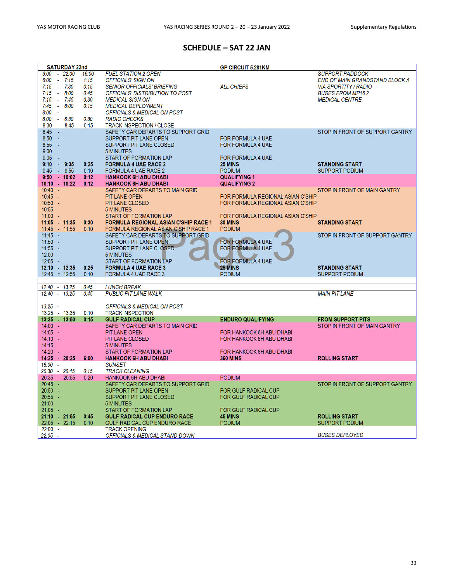# **SCHEDULE – SAT 22 JAN**

|                          | <b>SATURDAY 22nd</b> |              |                                                   | <b>GP CIRCUIT 5.281KM</b>                  |                                       |
|--------------------------|----------------------|--------------|---------------------------------------------------|--------------------------------------------|---------------------------------------|
| $6.00 - 22.00$           |                      | 16:00        | <b>FUEL STATION 2 OPEN</b>                        |                                            | <b>SUPPORT PADDOCK</b>                |
| 6:00                     | $-7:15$              | 1:15         | <b>OFFICIALS' SIGN ON</b>                         |                                            | <b>END OF MAIN GRANDSTAND BLOCK A</b> |
| 7:15                     | $-7:30$              | 0:15         | <b>SENIOR OFFICIALS' BRIEFING</b>                 | <b>ALL CHIEFS</b>                          | <b>VIA SPORTITY / RADIO</b>           |
| 7:15                     | $-8:00$              | 0:45         | OFFICIALS' DISTRIBUTION TO POST                   |                                            | <b>BUSES FROM MP16.2</b>              |
| 7:15                     | $-7:45$              | 0:30         | <b>MEDICAL SIGN ON</b>                            |                                            | <b>MEDICAL CENTRE</b>                 |
| $7.45 - 8.00$            |                      | 0:15         | <b>MEDICAL DEPLOYMENT</b>                         |                                            |                                       |
| 8:00<br>$\sim$           |                      |              | OFFICIALS & MEDICAL ON POST                       |                                            |                                       |
| 8:00                     | $-8:30$              | 0:30         | <b>RADIO CHECKS</b>                               |                                            |                                       |
| 8:30                     | $-8:45$              | 0:15         | <b>TRACK INSPECTION / CLOSE</b>                   |                                            |                                       |
| 8:45<br>- 4              |                      |              | SAFETY CAR DEPARTS TO SUPPORT GRID                |                                            | STOP IN FRONT OF SUPPORT GANTRY       |
| $8:50 -$                 |                      |              | SUPPORT PIT LANE OPEN                             | <b>FOR FORMULA 4 UAE</b>                   |                                       |
| 8:55<br>$\sim$           |                      |              | SUPPORT PIT LANE CLOSED                           | <b>FOR FORMULA 4 UAE</b>                   |                                       |
| 9:00<br>9:05             |                      |              | <b>5 MINUTES</b><br><b>START OF FORMATION LAP</b> |                                            |                                       |
| 9:10                     | $-9:35$              | 0:25         | <b>FORMULA 4 UAE RACE 2</b>                       | <b>FOR FORMULA 4 UAE</b><br><b>25 MINS</b> | <b>STANDING START</b>                 |
| 9:45                     | $-9:55$              | 0:10         | FORMULA 4 UAE RACE 2                              | <b>PODIUM</b>                              | <b>SUPPORT PODIUM</b>                 |
| $9:50$ $10:02$           |                      | 0:12         | <b>HANKOOK 6H ABU DHABI</b>                       | <b>QUALIFYING 1</b>                        |                                       |
| $10:10 - 10:22$          |                      | 0:12         | <b>HANKOOK 6H ABU DHABI</b>                       | <b>QUALIFYING 2</b>                        |                                       |
| $10:40 -$                |                      |              | SAFETY CAR DEPARTS TO MAIN GRID                   |                                            | STOP IN FRONT OF MAIN GANTRY          |
| $10:45 -$                |                      |              | <b>PIT LANE OPEN</b>                              | FOR FORMULA REGIONAL ASIAN C'SHIP          |                                       |
| $10:50 -$                |                      |              | <b>PIT LANE CLOSED</b>                            | FOR FORMULA REGIONAL ASIAN C'SHIP          |                                       |
| 10:55                    |                      |              | <b>5 MINUTES</b>                                  |                                            |                                       |
| $11:00 -$                |                      |              | <b>START OF FORMATION LAP</b>                     | FOR FORMULA REGIONAL ASIAN C'SHIP          |                                       |
| 11:05 11:35              |                      | 0:30         | <b>FORMULA REGIONAL ASIAN C'SHIP RACE 1</b>       | 30 MINS                                    | <b>STANDING START</b>                 |
| 11:45 - 11:55            |                      | 0:10         | FORMULA REGIONAL ASIAN C'SHIP RACE 1              | <b>PODIUM</b>                              |                                       |
| $11:45 -$                |                      |              | SAFETY CAR DEPARTS TO SUPPORT GRID                |                                            | STOP IN FRONT OF SUPPORT GANTRY       |
| $11:50 -$                |                      |              | SUPPORT PIT LANE OPEN                             | <b>FOR FORMULA 4 UAE</b>                   |                                       |
| $11:55 -$                |                      |              | SUPPORT PIT LANE CLOSED                           | <b>FOR FORMULA 4 UAE</b>                   |                                       |
| 12:00                    |                      |              | <b>5 MINUTES</b>                                  |                                            |                                       |
| $12:05 -$                |                      |              | START OF FORMATION LAP                            | <b>FOR FORMULA 4 UAE</b>                   |                                       |
| 12:10 - 12:35            |                      | 0:25         | <b>FORMULA 4 UAE RACE 3</b>                       | <b>25 MINS</b>                             | <b>STANDING START</b>                 |
| 12:45 : 12:55            |                      | 0:10         | <b>FORMULA 4 UAE RACE 3</b>                       | <b>PODIUM</b>                              | <b>SUPPORT PODIUM</b>                 |
| 12:40 - 13:25            |                      | 0:45         | <b>LUNCH BREAK</b>                                |                                            |                                       |
| $12:40 - 13:25$          |                      | 0:45         | <b>PUBLIC PIT LANE WALK</b>                       |                                            | <b>MAIN PIT LANE</b>                  |
|                          |                      |              |                                                   |                                            |                                       |
| $13:25 -$                |                      |              | <b>OFFICIALS &amp; MEDICAL ON POST</b>            |                                            |                                       |
| 13:25 - 13:35            |                      | 0:10         | <b>TRACK INSPECTION</b>                           |                                            |                                       |
| 13:35 - 13:50            |                      | 0:15         | <b>GULF RADICAL CUP</b>                           | <b>ENDURO QUALIFYING</b>                   | <b>FROM SUPPORT PITS</b>              |
| $14:00 -$                |                      |              | SAFETY CAR DEPARTS TO MAIN GRID                   |                                            | STOP IN FRONT OF MAIN GANTRY          |
| $14:05 -$                |                      |              | <b>PIT LANE OPEN</b>                              | FOR HANKOOK 6H ABU DHABI                   |                                       |
| $14:10 -$                |                      |              | PIT LANE CLOSED                                   | FOR HANKOOK 6H ABU DHABI                   |                                       |
| 14:15                    |                      |              | <b>5 MINUTES</b>                                  |                                            |                                       |
| $14:20 -$                |                      |              | START OF FORMATION LAP                            | FOR HANKOOK 6H ABU DHABI                   |                                       |
| 14:25 20:25              |                      | 6:00         | <b>HANKOOK 6H ABU DHABI</b>                       | <b>360 MINS</b>                            | <b>ROLLING START</b>                  |
| $18:00 -$                |                      |              | <b>SUNSET</b>                                     |                                            |                                       |
| 20:30 - 20:45            |                      | 0:15         | <b>TRACK CLEANING</b>                             |                                            |                                       |
| 20:35 - 20:55            |                      | 0:20         | <b>HANKOOK 6H ABU DHABI</b>                       | <b>PODIUM</b>                              |                                       |
| $20:45 -$                |                      |              | SAFETY CAR DEPARTS TO SUPPORT GRID                |                                            | STOP IN FRONT OF SUPPORT GANTRY       |
| $20:50 -$                |                      |              | SUPPORT PIT LANE OPEN                             | <b>FOR GULF RADICAL CUP</b>                |                                       |
| $20:55 -$                |                      |              | SUPPORT PIT LANE CLOSED                           | FOR GULF RADICAL CUP                       |                                       |
| 21:00                    |                      |              | <b>5 MINUTES</b><br><b>START OF FORMATION LAP</b> |                                            |                                       |
| $21:05 -$<br>21:10 21:55 |                      |              | <b>GULF RADICAL CUP ENDURO RACE</b>               | FOR GULF RADICAL CUP                       | <b>ROLLING START</b>                  |
| 22:05 - 22:15            |                      | 0:45<br>0:10 | <b>GULF RADICAL CUP ENDURO RACE</b>               | <b>45 MINS</b><br><b>PODIUM</b>            | <b>SUPPORT PODIUM</b>                 |
| $22:00 -$                |                      |              | <b>TRACK OPENING</b>                              |                                            |                                       |
| $22:05 -$                |                      |              | OFFICIALS & MEDICAL STAND DOWN                    |                                            | <b>BUSES DEPLOYED</b>                 |